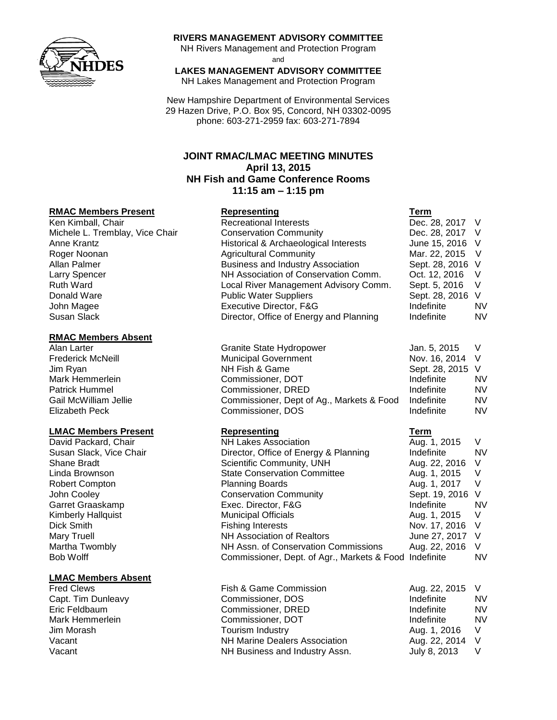

### **RIVERS MANAGEMENT ADVISORY COMMITTEE**

NH Rivers Management and Protection Program and

# **LAKES MANAGEMENT ADVISORY COMMITTEE**

NH Lakes Management and Protection Program

New Hampshire Department of Environmental Services 29 Hazen Drive, P.O. Box 95, Concord, NH 03302-0095 phone: 603-271-2959 fax: 603-271-7894

# **JOINT RMAC/LMAC MEETING MINUTES April 13, 2015 NH Fish and Game Conference Rooms 11:15 am – 1:15 pm**

#### **RMAC Members Present Representing Term**

#### **RMAC Members Absent**

### **LMAC Members Present Representing Term**

### **LMAC Members Absent**

| Ken Kimball, Chair              | <b>Recreational Interests</b>            | Dec. 28, 2017 V  |    |
|---------------------------------|------------------------------------------|------------------|----|
| Michele L. Tremblay, Vice Chair | <b>Conservation Community</b>            | Dec. 28, 2017 V  |    |
| Anne Krantz                     | Historical & Archaeological Interests    | June 15, 2016 V  |    |
| Roger Noonan                    | <b>Agricultural Community</b>            | Mar. 22, 2015 V  |    |
| Allan Palmer                    | <b>Business and Industry Association</b> | Sept. 28, 2016 V |    |
| <b>Larry Spencer</b>            | NH Association of Conservation Comm.     | Oct. 12, 2016    |    |
| <b>Ruth Ward</b>                | Local River Management Advisory Comm.    | Sept. 5, 2016    |    |
| Donald Ware                     | <b>Public Water Suppliers</b>            | Sept. 28, 2016 V |    |
| John Magee                      | Executive Director, F&G                  | Indefinite       | NV |
| Susan Slack                     | Director, Office of Energy and Planning  | Indefinite       | NV |
|                                 |                                          |                  |    |

| Alan Larter              | Granite State Hydropower                  | Jan. 5, 2015     |           |
|--------------------------|-------------------------------------------|------------------|-----------|
| <b>Frederick McNeill</b> | <b>Municipal Government</b>               | Nov. 16, 2014 V  |           |
| Jim Ryan                 | NH Fish & Game                            | Sept. 28, 2015 V |           |
| Mark Hemmerlein          | Commissioner, DOT                         | Indefinite       | <b>NV</b> |
| Patrick Hummel           | Commissioner, DRED                        | Indefinite       | <b>NV</b> |
| Gail McWilliam Jellie    | Commissioner, Dept of Ag., Markets & Food | Indefinite       | <b>NV</b> |
| Elizabeth Peck           | Commissioner, DOS                         | Indefinite       | <b>NV</b> |

| <b>NH Lakes Association</b>           | Aug. 1, 2015     | V                                                      |
|---------------------------------------|------------------|--------------------------------------------------------|
| Director, Office of Energy & Planning | Indefinite       | <b>NV</b>                                              |
| Scientific Community, UNH             | Aug. 22, 2016    | $\vee$                                                 |
| <b>State Conservation Committee</b>   | Aug. 1, 2015     | - V                                                    |
| <b>Planning Boards</b>                | Aug. 1, 2017     | - V                                                    |
| <b>Conservation Community</b>         | Sept. 19, 2016 V |                                                        |
| Exec. Director, F&G                   | Indefinite       | <b>NV</b>                                              |
| <b>Municipal Officials</b>            | Aug. 1, 2015     | V                                                      |
| <b>Fishing Interests</b>              | Nov. 17, 2016 V  |                                                        |
| <b>NH Association of Realtors</b>     | June 27, 2017 V  |                                                        |
| NH Assn. of Conservation Commissions  | Aug. 22, 2016    |                                                        |
|                                       |                  | <b>NV</b>                                              |
|                                       |                  | Commissioner, Dept. of Agr., Markets & Food Indefinite |

| Fish & Game Commission               | Aug. 22, 2015 V |    |
|--------------------------------------|-----------------|----|
| Commissioner, DOS                    | Indefinite      | N٧ |
| Commissioner, DRED                   | Indefinite      | N٧ |
| Commissioner, DOT                    | Indefinite      | N٧ |
| Tourism Industry                     | Aug. 1, 2016    |    |
| <b>NH Marine Dealers Association</b> | Aug. 22, 2014 V |    |
| NH Business and Industry Assn.       | July 8, 2013    |    |
|                                      |                 |    |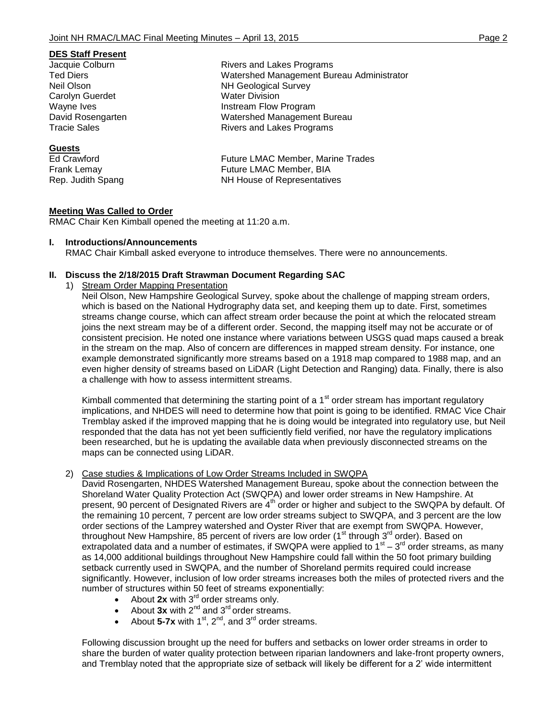### **DES Staff Present**

Carolyn Guerdet Water Division

# **Guests**

Jacquie Colburn **Rivers** and Lakes Programs Ted Diers Watershed Management Bureau Administrator Neil Olson NH Geological Survey Wayne Ives **Instream Flow Program** David Rosengarten Watershed Management Bureau Tracie Sales **Rivers** and Lakes Programs

Ed Crawford Future LMAC Member, Marine Trades Frank Lemay **Future LMAC Member, BIA** Rep. Judith Spang NH House of Representatives

# **Meeting Was Called to Order**

RMAC Chair Ken Kimball opened the meeting at 11:20 a.m.

## **I. Introductions/Announcements**

RMAC Chair Kimball asked everyone to introduce themselves. There were no announcements.

# **II. Discuss the 2/18/2015 Draft Strawman Document Regarding SAC**

1) Stream Order Mapping Presentation

Neil Olson, New Hampshire Geological Survey, spoke about the challenge of mapping stream orders, which is based on the National Hydrography data set, and keeping them up to date. First, sometimes streams change course, which can affect stream order because the point at which the relocated stream joins the next stream may be of a different order. Second, the mapping itself may not be accurate or of consistent precision. He noted one instance where variations between USGS quad maps caused a break in the stream on the map. Also of concern are differences in mapped stream density. For instance, one example demonstrated significantly more streams based on a 1918 map compared to 1988 map, and an even higher density of streams based on LiDAR (Light Detection and Ranging) data. Finally, there is also a challenge with how to assess intermittent streams.

Kimball commented that determining the starting point of a  $1<sup>st</sup>$  order stream has important regulatory implications, and NHDES will need to determine how that point is going to be identified. RMAC Vice Chair Tremblay asked if the improved mapping that he is doing would be integrated into regulatory use, but Neil responded that the data has not yet been sufficiently field verified, nor have the regulatory implications been researched, but he is updating the available data when previously disconnected streams on the maps can be connected using LiDAR.

# 2) Case studies & Implications of Low Order Streams Included in SWQPA

David Rosengarten, NHDES Watershed Management Bureau, spoke about the connection between the Shoreland Water Quality Protection Act (SWQPA) and lower order streams in New Hampshire. At present, 90 percent of Designated Rivers are 4<sup>th</sup> order or higher and subject to the SWQPA by default. Of the remaining 10 percent, 7 percent are low order streams subject to SWQPA, and 3 percent are the low order sections of the Lamprey watershed and Oyster River that are exempt from SWQPA. However, throughout New Hampshire, 85 percent of rivers are low order (1<sup>st</sup> through 3<sup>rd</sup> order). Based on extrapolated data and a number of estimates, if SWQPA were applied to  $1<sup>st</sup> - 3<sup>rd</sup>$  order streams, as many as 14,000 additional buildings throughout New Hampshire could fall within the 50 foot primary building setback currently used in SWQPA, and the number of Shoreland permits required could increase significantly. However, inclusion of low order streams increases both the miles of protected rivers and the number of structures within 50 feet of streams exponentially:

- About 2x with 3<sup>rd</sup> order streams only.
- About  $3x$  with  $2^{nd}$  and  $3^{rd}$  order streams.
- About  $5-7x$  with  $1^{st}$ ,  $2^{nd}$ , and  $3^{rd}$  order streams.

Following discussion brought up the need for buffers and setbacks on lower order streams in order to share the burden of water quality protection between riparian landowners and lake-front property owners, and Tremblay noted that the appropriate size of setback will likely be different for a 2' wide intermittent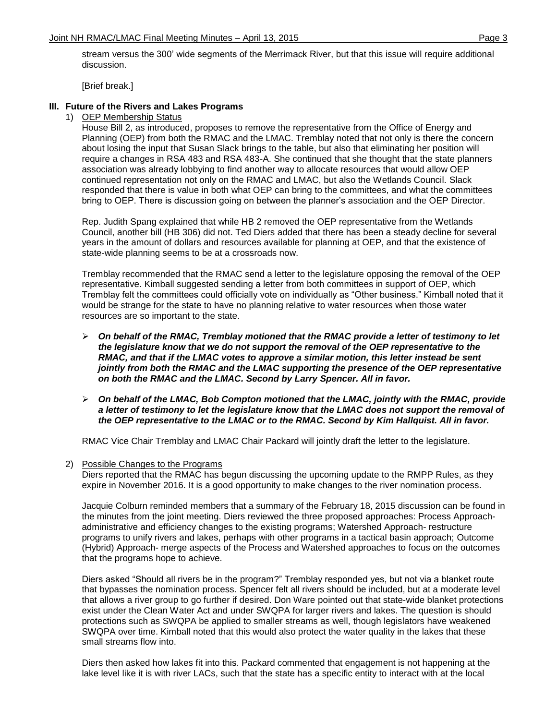stream versus the 300' wide segments of the Merrimack River, but that this issue will require additional discussion.

[Brief break.]

# **III. Future of the Rivers and Lakes Programs**

1) OEP Membership Status

House Bill 2, as introduced, proposes to remove the representative from the Office of Energy and Planning (OEP) from both the RMAC and the LMAC. Tremblay noted that not only is there the concern about losing the input that Susan Slack brings to the table, but also that eliminating her position will require a changes in RSA 483 and RSA 483-A. She continued that she thought that the state planners association was already lobbying to find another way to allocate resources that would allow OEP continued representation not only on the RMAC and LMAC, but also the Wetlands Council. Slack responded that there is value in both what OEP can bring to the committees, and what the committees bring to OEP. There is discussion going on between the planner's association and the OEP Director.

Rep. Judith Spang explained that while HB 2 removed the OEP representative from the Wetlands Council, another bill (HB 306) did not. Ted Diers added that there has been a steady decline for several years in the amount of dollars and resources available for planning at OEP, and that the existence of state-wide planning seems to be at a crossroads now.

Tremblay recommended that the RMAC send a letter to the legislature opposing the removal of the OEP representative. Kimball suggested sending a letter from both committees in support of OEP, which Tremblay felt the committees could officially vote on individually as "Other business." Kimball noted that it would be strange for the state to have no planning relative to water resources when those water resources are so important to the state.

- *On behalf of the RMAC, Tremblay motioned that the RMAC provide a letter of testimony to let the legislature know that we do not support the removal of the OEP representative to the RMAC, and that if the LMAC votes to approve a similar motion, this letter instead be sent jointly from both the RMAC and the LMAC supporting the presence of the OEP representative on both the RMAC and the LMAC. Second by Larry Spencer. All in favor.*
- *On behalf of the LMAC, Bob Compton motioned that the LMAC, jointly with the RMAC, provide a letter of testimony to let the legislature know that the LMAC does not support the removal of the OEP representative to the LMAC or to the RMAC. Second by Kim Hallquist. All in favor.*

RMAC Vice Chair Tremblay and LMAC Chair Packard will jointly draft the letter to the legislature.

2) Possible Changes to the Programs

Diers reported that the RMAC has begun discussing the upcoming update to the RMPP Rules, as they expire in November 2016. It is a good opportunity to make changes to the river nomination process.

Jacquie Colburn reminded members that a summary of the February 18, 2015 discussion can be found in the minutes from the joint meeting. Diers reviewed the three proposed approaches: Process Approachadministrative and efficiency changes to the existing programs; Watershed Approach- restructure programs to unify rivers and lakes, perhaps with other programs in a tactical basin approach; Outcome (Hybrid) Approach- merge aspects of the Process and Watershed approaches to focus on the outcomes that the programs hope to achieve.

Diers asked "Should all rivers be in the program?" Tremblay responded yes, but not via a blanket route that bypasses the nomination process. Spencer felt all rivers should be included, but at a moderate level that allows a river group to go further if desired. Don Ware pointed out that state-wide blanket protections exist under the Clean Water Act and under SWQPA for larger rivers and lakes. The question is should protections such as SWQPA be applied to smaller streams as well, though legislators have weakened SWQPA over time. Kimball noted that this would also protect the water quality in the lakes that these small streams flow into.

Diers then asked how lakes fit into this. Packard commented that engagement is not happening at the lake level like it is with river LACs, such that the state has a specific entity to interact with at the local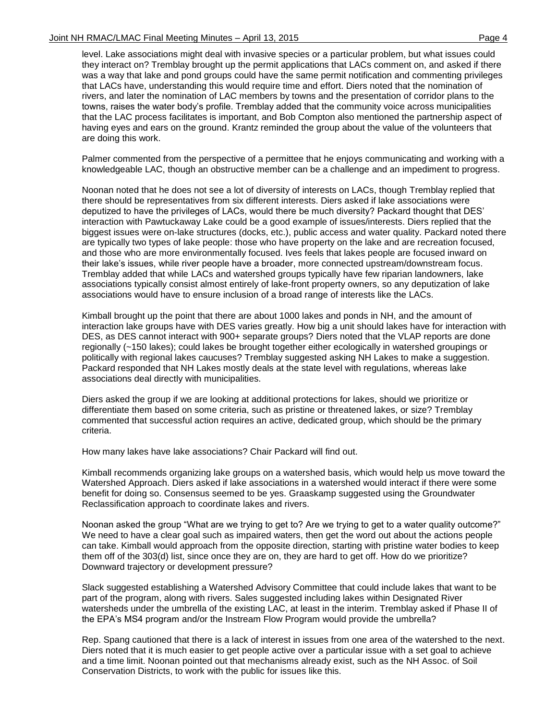level. Lake associations might deal with invasive species or a particular problem, but what issues could they interact on? Tremblay brought up the permit applications that LACs comment on, and asked if there was a way that lake and pond groups could have the same permit notification and commenting privileges that LACs have, understanding this would require time and effort. Diers noted that the nomination of rivers, and later the nomination of LAC members by towns and the presentation of corridor plans to the towns, raises the water body's profile. Tremblay added that the community voice across municipalities that the LAC process facilitates is important, and Bob Compton also mentioned the partnership aspect of having eyes and ears on the ground. Krantz reminded the group about the value of the volunteers that are doing this work.

Palmer commented from the perspective of a permittee that he enjoys communicating and working with a knowledgeable LAC, though an obstructive member can be a challenge and an impediment to progress.

Noonan noted that he does not see a lot of diversity of interests on LACs, though Tremblay replied that there should be representatives from six different interests. Diers asked if lake associations were deputized to have the privileges of LACs, would there be much diversity? Packard thought that DES' interaction with Pawtuckaway Lake could be a good example of issues/interests. Diers replied that the biggest issues were on-lake structures (docks, etc.), public access and water quality. Packard noted there are typically two types of lake people: those who have property on the lake and are recreation focused, and those who are more environmentally focused. Ives feels that lakes people are focused inward on their lake's issues, while river people have a broader, more connected upstream/downstream focus. Tremblay added that while LACs and watershed groups typically have few riparian landowners, lake associations typically consist almost entirely of lake-front property owners, so any deputization of lake associations would have to ensure inclusion of a broad range of interests like the LACs.

Kimball brought up the point that there are about 1000 lakes and ponds in NH, and the amount of interaction lake groups have with DES varies greatly. How big a unit should lakes have for interaction with DES, as DES cannot interact with 900+ separate groups? Diers noted that the VLAP reports are done regionally (~150 lakes); could lakes be brought together either ecologically in watershed groupings or politically with regional lakes caucuses? Tremblay suggested asking NH Lakes to make a suggestion. Packard responded that NH Lakes mostly deals at the state level with regulations, whereas lake associations deal directly with municipalities.

Diers asked the group if we are looking at additional protections for lakes, should we prioritize or differentiate them based on some criteria, such as pristine or threatened lakes, or size? Tremblay commented that successful action requires an active, dedicated group, which should be the primary criteria.

How many lakes have lake associations? Chair Packard will find out.

Kimball recommends organizing lake groups on a watershed basis, which would help us move toward the Watershed Approach. Diers asked if lake associations in a watershed would interact if there were some benefit for doing so. Consensus seemed to be yes. Graaskamp suggested using the Groundwater Reclassification approach to coordinate lakes and rivers.

Noonan asked the group "What are we trying to get to? Are we trying to get to a water quality outcome?" We need to have a clear goal such as impaired waters, then get the word out about the actions people can take. Kimball would approach from the opposite direction, starting with pristine water bodies to keep them off of the 303(d) list, since once they are on, they are hard to get off. How do we prioritize? Downward trajectory or development pressure?

Slack suggested establishing a Watershed Advisory Committee that could include lakes that want to be part of the program, along with rivers. Sales suggested including lakes within Designated River watersheds under the umbrella of the existing LAC, at least in the interim. Tremblay asked if Phase II of the EPA's MS4 program and/or the Instream Flow Program would provide the umbrella?

Rep. Spang cautioned that there is a lack of interest in issues from one area of the watershed to the next. Diers noted that it is much easier to get people active over a particular issue with a set goal to achieve and a time limit. Noonan pointed out that mechanisms already exist, such as the NH Assoc. of Soil Conservation Districts, to work with the public for issues like this.